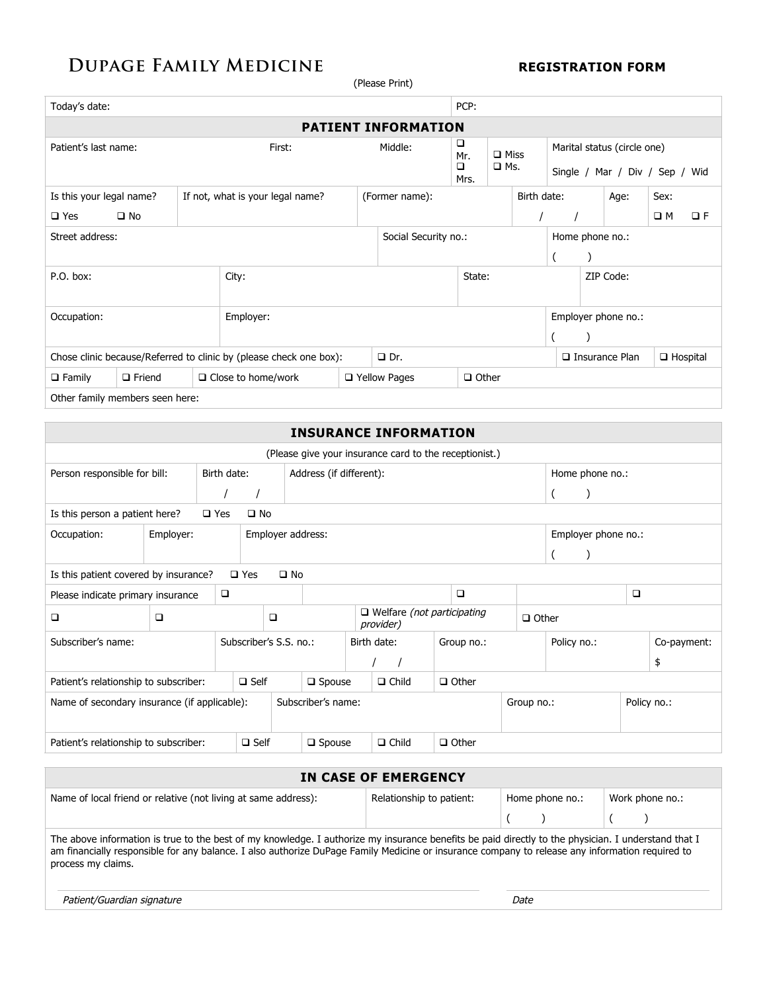# **DUPAGE FAMILY MEDICINE REGISTRATION FORM**

(Please Print)

| Today's date:                                                      |                                                              |  |                           |                |                            | PCP:                                                    |  |             |                       |                                                               |      |                 |          |  |
|--------------------------------------------------------------------|--------------------------------------------------------------|--|---------------------------|----------------|----------------------------|---------------------------------------------------------|--|-------------|-----------------------|---------------------------------------------------------------|------|-----------------|----------|--|
|                                                                    |                                                              |  |                           |                | <b>PATIENT INFORMATION</b> |                                                         |  |             |                       |                                                               |      |                 |          |  |
| Patient's last name:                                               | First:                                                       |  |                           |                | Middle:                    | □<br>$\Box$ Miss<br>Mr.<br>$\Box$<br>$\Box$ Ms.<br>Mrs. |  |             |                       | Marital status (circle one)<br>Single / Mar / Div / Sep / Wid |      |                 |          |  |
|                                                                    | Is this your legal name?<br>If not, what is your legal name? |  |                           |                | (Former name):             |                                                         |  | Birth date: |                       |                                                               | Age: | Sex:            |          |  |
| $\square$ Yes                                                      | $\square$ No                                                 |  |                           |                |                            |                                                         |  |             |                       |                                                               |      | $\square$ M     | $\Box F$ |  |
| Street address:                                                    |                                                              |  |                           |                | Social Security no.:       |                                                         |  |             | Home phone no.:       |                                                               |      |                 |          |  |
|                                                                    |                                                              |  |                           |                |                            |                                                         |  |             |                       |                                                               |      |                 |          |  |
| P.O. box:                                                          |                                                              |  | City:                     |                |                            | State:                                                  |  |             | ZIP Code:             |                                                               |      |                 |          |  |
| Occupation:                                                        |                                                              |  | Employer:                 |                |                            |                                                         |  |             | Employer phone no.:   |                                                               |      |                 |          |  |
|                                                                    |                                                              |  |                           |                |                            |                                                         |  |             |                       |                                                               |      |                 |          |  |
| Chose clinic because/Referred to clinic by (please check one box): |                                                              |  |                           | $\Box$ Dr.     |                            |                                                         |  |             | $\Box$ Insurance Plan |                                                               |      | $\Box$ Hospital |          |  |
| $\Box$ Family                                                      | $\Box$ Friend                                                |  | $\Box$ Close to home/work | □ Yellow Pages | $\Box$ Other               |                                                         |  |             |                       |                                                               |      |                 |          |  |
| Other family members seen here:                                    |                                                              |  |                           |                |                            |                                                         |  |             |                       |                                                               |      |                 |          |  |

|                                                        | <b>INSURANCE INFORMATION</b>                                           |  |                        |        |                         |              |                                                |              |            |              |                     |                 |        |             |  |
|--------------------------------------------------------|------------------------------------------------------------------------|--|------------------------|--------|-------------------------|--------------|------------------------------------------------|--------------|------------|--------------|---------------------|-----------------|--------|-------------|--|
| (Please give your insurance card to the receptionist.) |                                                                        |  |                        |        |                         |              |                                                |              |            |              |                     |                 |        |             |  |
| Person responsible for bill:                           |                                                                        |  | Birth date:            |        | Address (if different): |              |                                                |              |            |              |                     | Home phone no.: |        |             |  |
|                                                        |                                                                        |  |                        |        |                         |              |                                                |              |            |              |                     |                 |        |             |  |
|                                                        | Is this person a patient here?<br>$\square$ Yes<br>$\square$ No        |  |                        |        |                         |              |                                                |              |            |              |                     |                 |        |             |  |
| Employer:<br>Occupation:                               |                                                                        |  | Employer address:      |        |                         |              |                                                |              |            |              | Employer phone no.: |                 |        |             |  |
|                                                        |                                                                        |  |                        |        |                         |              |                                                |              |            |              |                     |                 |        |             |  |
|                                                        | Is this patient covered by insurance?<br>$\square$ Yes<br>$\square$ No |  |                        |        |                         |              |                                                |              |            |              |                     |                 |        |             |  |
| Please indicate primary insurance                      |                                                                        |  | $\Box$                 |        |                         |              |                                                |              | $\Box$     |              |                     |                 | $\Box$ |             |  |
| □                                                      | □                                                                      |  |                        | $\Box$ |                         |              | $\Box$ Welfare (not participating<br>provider) |              |            | $\Box$ Other |                     |                 |        |             |  |
| Subscriber's name:                                     |                                                                        |  | Subscriber's S.S. no.: |        |                         |              | Birth date:                                    |              |            | Group no.:   |                     | Policy no.:     |        | Co-payment: |  |
|                                                        |                                                                        |  |                        |        |                         |              |                                                |              |            |              |                     |                 |        | \$          |  |
| Patient's relationship to subscriber:                  |                                                                        |  | $\Box$ Self            |        | $\square$ Spouse        |              | $\Box$ Child                                   | $\Box$ Other |            |              |                     |                 |        |             |  |
| Name of secondary insurance (if applicable):           |                                                                        |  |                        |        | Subscriber's name:      |              |                                                |              | Group no.: |              |                     |                 |        | Policy no.: |  |
| Patient's relationship to subscriber:                  |                                                                        |  | $\square$ Self         |        | $\square$ Spouse        | $\Box$ Child | $\Box$ Other                                   |              |            |              |                     |                 |        |             |  |

| IN CASE OF EMERGENCY                                                                                                                                                                                                                                                                                                         |      |                 |  |                 |  |  |  |  |  |
|------------------------------------------------------------------------------------------------------------------------------------------------------------------------------------------------------------------------------------------------------------------------------------------------------------------------------|------|-----------------|--|-----------------|--|--|--|--|--|
| Name of local friend or relative (not living at same address):                                                                                                                                                                                                                                                               |      | Home phone no.: |  | Work phone no.: |  |  |  |  |  |
|                                                                                                                                                                                                                                                                                                                              |      |                 |  |                 |  |  |  |  |  |
| The above information is true to the best of my knowledge. I authorize my insurance benefits be paid directly to the physician. I understand that I<br>am financially responsible for any balance. I also authorize DuPage Family Medicine or insurance company to release any information required to<br>process my claims. |      |                 |  |                 |  |  |  |  |  |
| Patient/Guardian signature                                                                                                                                                                                                                                                                                                   | Date |                 |  |                 |  |  |  |  |  |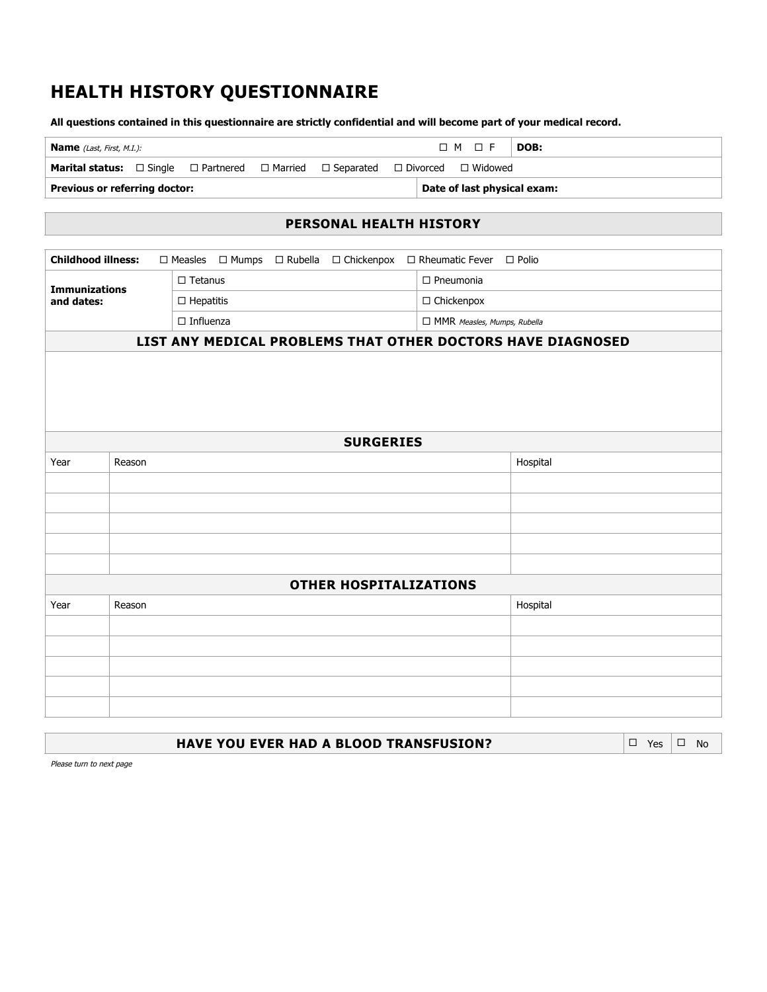# **HEALTH HISTORY QUESTIONNAIRE**

**All questions contained in this questionnaire are strictly confidential and will become part of your medical record.**

| <b>Name</b> (Last, First, M.I.):                                                                                     |  |  |  |  | $\Box M \Box F$ | DOB:                        |  |
|----------------------------------------------------------------------------------------------------------------------|--|--|--|--|-----------------|-----------------------------|--|
| <b>Marital status:</b> $\Box$ Single $\Box$ Partnered $\Box$ Married $\Box$ Separated $\Box$ Divorced $\Box$ Widowed |  |  |  |  |                 |                             |  |
| Previous or referring doctor:                                                                                        |  |  |  |  |                 | Date of last physical exam: |  |

#### **PERSONAL HEALTH HISTORY**

| <b>Childhood illness:</b>          |                  |                   | $\square$ Measles $\square$ Mumps $\square$ Rubella $\square$ Chickenpox $\square$ Rheumatic Fever $\square$ Polio |  |                             |                                                             |  |  |  |  |
|------------------------------------|------------------|-------------------|--------------------------------------------------------------------------------------------------------------------|--|-----------------------------|-------------------------------------------------------------|--|--|--|--|
|                                    |                  | $\square$ Tetanus |                                                                                                                    |  | $\Box$ Pneumonia            |                                                             |  |  |  |  |
| <b>Immunizations</b><br>and dates: |                  | $\Box$ Hepatitis  |                                                                                                                    |  | $\Box$ Chickenpox           |                                                             |  |  |  |  |
|                                    |                  | $\Box$ Influenza  |                                                                                                                    |  | MMR Measles, Mumps, Rubella |                                                             |  |  |  |  |
|                                    |                  |                   |                                                                                                                    |  |                             |                                                             |  |  |  |  |
|                                    |                  |                   |                                                                                                                    |  |                             | LIST ANY MEDICAL PROBLEMS THAT OTHER DOCTORS HAVE DIAGNOSED |  |  |  |  |
|                                    |                  |                   |                                                                                                                    |  |                             |                                                             |  |  |  |  |
|                                    |                  |                   |                                                                                                                    |  |                             |                                                             |  |  |  |  |
|                                    |                  |                   |                                                                                                                    |  |                             |                                                             |  |  |  |  |
|                                    |                  |                   |                                                                                                                    |  |                             |                                                             |  |  |  |  |
|                                    | <b>SURGERIES</b> |                   |                                                                                                                    |  |                             |                                                             |  |  |  |  |
| Year                               | Reason           |                   |                                                                                                                    |  |                             | Hospital                                                    |  |  |  |  |
|                                    |                  |                   |                                                                                                                    |  |                             |                                                             |  |  |  |  |
|                                    |                  |                   |                                                                                                                    |  |                             |                                                             |  |  |  |  |
|                                    |                  |                   |                                                                                                                    |  |                             |                                                             |  |  |  |  |
|                                    |                  |                   |                                                                                                                    |  |                             |                                                             |  |  |  |  |
|                                    |                  |                   |                                                                                                                    |  |                             |                                                             |  |  |  |  |
|                                    |                  |                   | <b>OTHER HOSPITALIZATIONS</b>                                                                                      |  |                             |                                                             |  |  |  |  |
| Year                               | Reason           |                   |                                                                                                                    |  |                             | Hospital                                                    |  |  |  |  |
|                                    |                  |                   |                                                                                                                    |  |                             |                                                             |  |  |  |  |
|                                    |                  |                   |                                                                                                                    |  |                             |                                                             |  |  |  |  |
|                                    |                  |                   |                                                                                                                    |  |                             |                                                             |  |  |  |  |
|                                    |                  |                   |                                                                                                                    |  |                             |                                                             |  |  |  |  |
|                                    |                  |                   |                                                                                                                    |  |                             |                                                             |  |  |  |  |

| $ \square$ Yes $ \square$ No<br><b>HAVE YOU EVER HAD A BLOOD TRANSFUSION?</b> |  |  |  |
|-------------------------------------------------------------------------------|--|--|--|
|-------------------------------------------------------------------------------|--|--|--|

Please turn to next page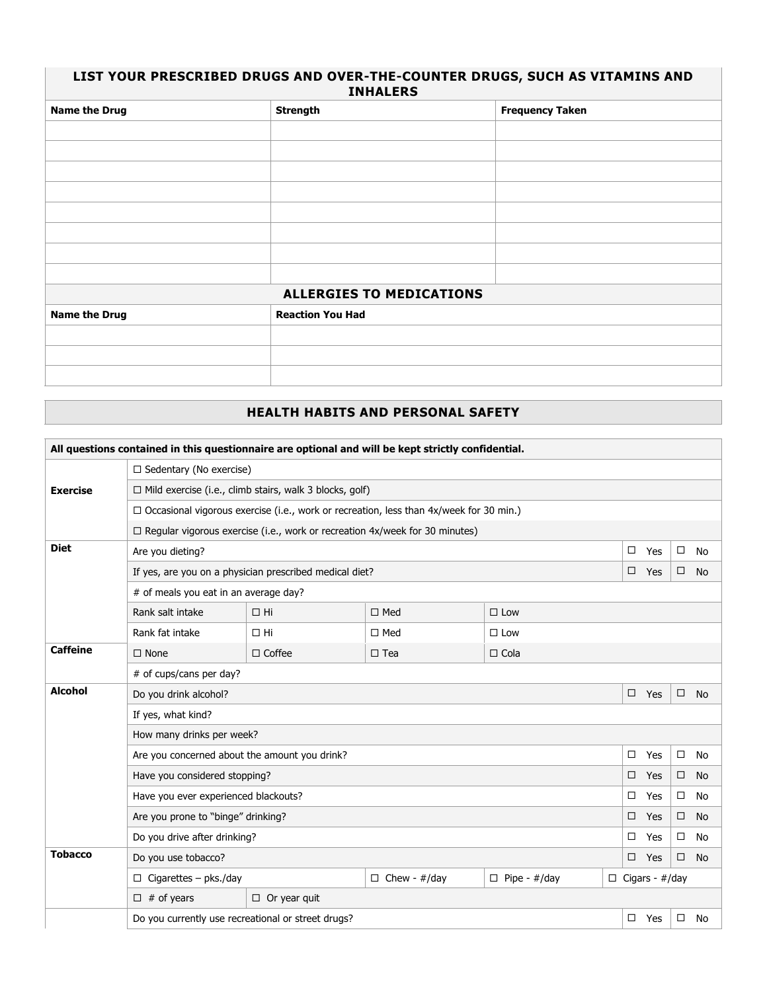#### **LIST YOUR PRESCRIBED DRUGS AND OVER-THE-COUNTER DRUGS, SUCH AS VITAMINS AND INHALERS**

| <b>Name the Drug</b> | <b>Strength</b>                 | <b>Frequency Taken</b> |
|----------------------|---------------------------------|------------------------|
|                      |                                 |                        |
|                      |                                 |                        |
|                      |                                 |                        |
|                      |                                 |                        |
|                      |                                 |                        |
|                      |                                 |                        |
|                      |                                 |                        |
|                      |                                 |                        |
|                      | <b>ALLERGIES TO MEDICATIONS</b> |                        |
| <b>Name the Drug</b> | <b>Reaction You Had</b>         |                        |
|                      |                                 |                        |
|                      |                                 |                        |
|                      |                                 |                        |

## **HEALTH HABITS AND PERSONAL SAFETY**

| All questions contained in this questionnaire are optional and will be kept strictly confidential. |                                                                            |                                                                                               |               |               |        |     |                       |           |  |  |  |  |
|----------------------------------------------------------------------------------------------------|----------------------------------------------------------------------------|-----------------------------------------------------------------------------------------------|---------------|---------------|--------|-----|-----------------------|-----------|--|--|--|--|
|                                                                                                    | $\Box$ Sedentary (No exercise)                                             |                                                                                               |               |               |        |     |                       |           |  |  |  |  |
| <b>Exercise</b>                                                                                    |                                                                            | $\Box$ Mild exercise (i.e., climb stairs, walk 3 blocks, golf)                                |               |               |        |     |                       |           |  |  |  |  |
|                                                                                                    |                                                                            | $\Box$ Occasional vigorous exercise (i.e., work or recreation, less than 4x/week for 30 min.) |               |               |        |     |                       |           |  |  |  |  |
|                                                                                                    |                                                                            | □ Regular vigorous exercise (i.e., work or recreation 4x/week for 30 minutes)                 |               |               |        |     |                       |           |  |  |  |  |
| <b>Diet</b>                                                                                        | Are you dieting?                                                           |                                                                                               |               |               | $\Box$ | Yes | $\Box$                | <b>No</b> |  |  |  |  |
|                                                                                                    |                                                                            | If yes, are you on a physician prescribed medical diet?                                       |               |               | $\Box$ | Yes | $\Box$                | <b>No</b> |  |  |  |  |
|                                                                                                    | # of meals you eat in an average day?                                      |                                                                                               |               |               |        |     |                       |           |  |  |  |  |
|                                                                                                    | Rank salt intake                                                           | $\Box$ Hi                                                                                     | $\Box$ Med    | $\Box$ Low    |        |     |                       |           |  |  |  |  |
|                                                                                                    | Rank fat intake                                                            | $\Box$ Hi                                                                                     | $\square$ Med | $\square$ Low |        |     |                       |           |  |  |  |  |
| <b>Caffeine</b>                                                                                    | $\square$ None                                                             | $\Box$ Coffee                                                                                 | $\square$ Tea | $\Box$ Cola   |        |     |                       |           |  |  |  |  |
|                                                                                                    | # of cups/cans per day?                                                    |                                                                                               |               |               |        |     |                       |           |  |  |  |  |
| <b>Alcohol</b>                                                                                     | Do you drink alcohol?                                                      |                                                                                               |               |               | $\Box$ | Yes | $\Box$                | No        |  |  |  |  |
|                                                                                                    | If yes, what kind?                                                         |                                                                                               |               |               |        |     |                       |           |  |  |  |  |
|                                                                                                    | How many drinks per week?                                                  |                                                                                               |               |               |        |     |                       |           |  |  |  |  |
|                                                                                                    | Are you concerned about the amount you drink?                              |                                                                                               |               |               | $\Box$ | Yes | $\Box$                | No        |  |  |  |  |
|                                                                                                    | Have you considered stopping?                                              |                                                                                               |               |               | $\Box$ | Yes | $\Box$                | <b>No</b> |  |  |  |  |
|                                                                                                    | Have you ever experienced blackouts?                                       |                                                                                               |               |               | $\Box$ | Yes | $\Box$                | No        |  |  |  |  |
|                                                                                                    | Are you prone to "binge" drinking?                                         |                                                                                               |               |               | □      | Yes | $\Box$                | <b>No</b> |  |  |  |  |
|                                                                                                    | Do you drive after drinking?                                               |                                                                                               |               |               | □      | Yes | $\Box$                | No        |  |  |  |  |
| <b>Tobacco</b>                                                                                     | Do you use tobacco?                                                        |                                                                                               |               |               | $\Box$ | Yes | $\Box$                | No        |  |  |  |  |
|                                                                                                    | $\Box$ Cigarettes - pks./day<br>$\Box$ Chew - #/day<br>$\Box$ Pipe - #/day |                                                                                               |               |               |        |     | $\Box$ Cigars - #/day |           |  |  |  |  |
|                                                                                                    | $\Box$ # of years                                                          | $\Box$ Or year quit                                                                           |               |               |        |     |                       |           |  |  |  |  |
|                                                                                                    | Do you currently use recreational or street drugs?                         |                                                                                               |               |               | $\Box$ | Yes | $\Box$                | <b>No</b> |  |  |  |  |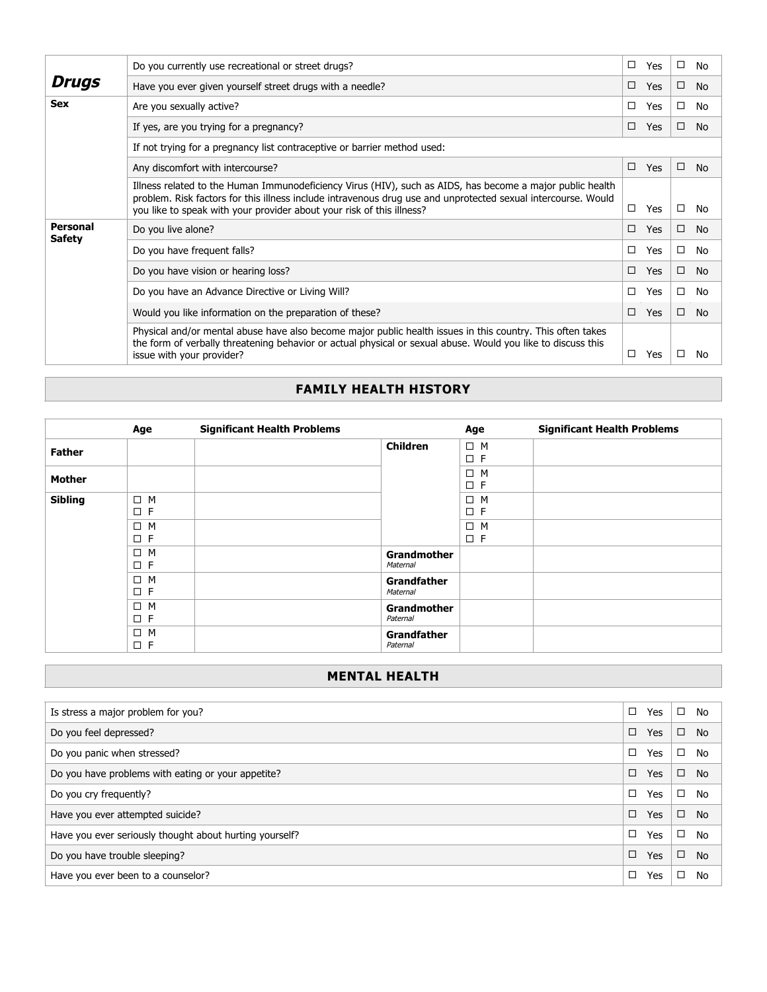|                                  | Do you currently use recreational or street drugs?                                                                                                                                                                                                                                                  | □      | Yes | $\Box$ | No        |  |  |  |
|----------------------------------|-----------------------------------------------------------------------------------------------------------------------------------------------------------------------------------------------------------------------------------------------------------------------------------------------------|--------|-----|--------|-----------|--|--|--|
| <b>Drugs</b>                     | Have you ever given yourself street drugs with a needle?                                                                                                                                                                                                                                            | □      | Yes | $\Box$ | No        |  |  |  |
| <b>Sex</b>                       | Are you sexually active?                                                                                                                                                                                                                                                                            | □      | Yes | $\Box$ | No        |  |  |  |
|                                  | If yes, are you trying for a pregnancy?                                                                                                                                                                                                                                                             | □      | Yes | $\Box$ | <b>No</b> |  |  |  |
|                                  | If not trying for a pregnancy list contraceptive or barrier method used:                                                                                                                                                                                                                            |        |     |        |           |  |  |  |
|                                  | Any discomfort with intercourse?                                                                                                                                                                                                                                                                    |        |     |        |           |  |  |  |
|                                  | Illness related to the Human Immunodeficiency Virus (HIV), such as AIDS, has become a major public health<br>problem. Risk factors for this illness include intravenous drug use and unprotected sexual intercourse. Would<br>you like to speak with your provider about your risk of this illness? | $\Box$ | Yes | □      | No        |  |  |  |
| <b>Personal</b><br><b>Safety</b> | Do you live alone?                                                                                                                                                                                                                                                                                  | □      | Yes | $\Box$ | No        |  |  |  |
|                                  | Do you have frequent falls?                                                                                                                                                                                                                                                                         | □      | Yes | $\Box$ | No        |  |  |  |
|                                  | Do you have vision or hearing loss?                                                                                                                                                                                                                                                                 | □      | Yes | $\Box$ | No        |  |  |  |
|                                  | Do you have an Advance Directive or Living Will?                                                                                                                                                                                                                                                    | □      | Yes | □      | No        |  |  |  |
|                                  | Would you like information on the preparation of these?                                                                                                                                                                                                                                             | □      | Yes | $\Box$ | <b>No</b> |  |  |  |
|                                  | Physical and/or mental abuse have also become major public health issues in this country. This often takes<br>the form of verbally threatening behavior or actual physical or sexual abuse. Would you like to discuss this<br>issue with your provider?                                             | □      | Yes | □      | No        |  |  |  |

## **FAMILY HEALTH HISTORY**

|                | Age                     | <b>Significant Health Problems</b> |                                | Age                     | <b>Significant Health Problems</b> |
|----------------|-------------------------|------------------------------------|--------------------------------|-------------------------|------------------------------------|
| <b>Father</b>  |                         |                                    | <b>Children</b>                | $\Box$ M<br>$\square$ F |                                    |
| <b>Mother</b>  |                         |                                    |                                | $\Box$ M<br>$\square$ F |                                    |
| <b>Sibling</b> | $\Box$ M<br>$\square$ F |                                    |                                | $\Box$ M<br>$\square$ F |                                    |
|                | $\Box$ M<br>$\square$ F |                                    |                                | $\Box$ M<br>$\square$ F |                                    |
|                | $\Box$ M<br>$\square$ F |                                    | Grandmother<br>Maternal        |                         |                                    |
|                | $\Box$ M<br>$\square$ F |                                    | <b>Grandfather</b><br>Maternal |                         |                                    |
|                | $\Box$ M<br>$\square$ F |                                    | <b>Grandmother</b><br>Paternal |                         |                                    |
|                | $\Box$ M<br>$\square$ F |                                    | <b>Grandfather</b><br>Paternal |                         |                                    |

# **MENTAL HEALTH**

| Is stress a major problem for you?                      | $\Box$ | Yes        | □      | No        |
|---------------------------------------------------------|--------|------------|--------|-----------|
| Do you feel depressed?                                  | $\Box$ | <b>Yes</b> | □      | <b>No</b> |
| Do you panic when stressed?                             | $\Box$ | Yes        | □      | No        |
| Do you have problems with eating or your appetite?      | $\Box$ | <b>Yes</b> | □      | No        |
| Do you cry frequently?                                  | □      | Yes        | □      | No        |
| Have you ever attempted suicide?                        | $\Box$ | <b>Yes</b> | $\Box$ | No        |
| Have you ever seriously thought about hurting yourself? | □      | Yes        | □      | No        |
| Do you have trouble sleeping?                           | □      | <b>Yes</b> | □      | No        |
| Have you ever been to a counselor?                      | □      | Yes        | □      | No        |